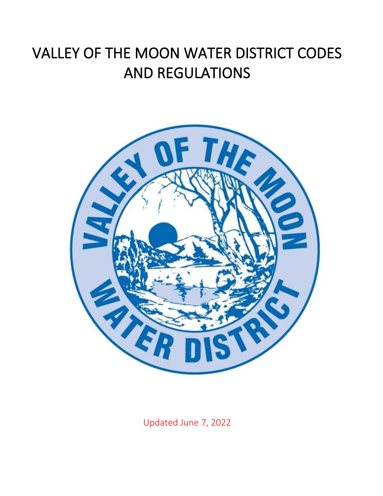# VALLEY OF THE MOON WATER DISTRICT CODES AND REGULATIONS



Updated June 7, 2022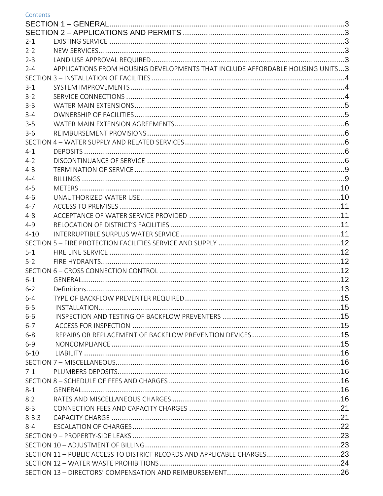| $2 - 1$   |                                                                               |     |
|-----------|-------------------------------------------------------------------------------|-----|
| $2 - 2$   |                                                                               |     |
| $2 - 3$   |                                                                               |     |
| $2 - 4$   | APPLICATIONS FROM HOUSING DEVELOPMENTS THAT INCLUDE AFFORDABLE HOUSING UNITS3 |     |
|           |                                                                               |     |
| $3 - 1$   |                                                                               |     |
| $3 - 2$   |                                                                               |     |
| $3 - 3$   |                                                                               |     |
| $3 - 4$   |                                                                               |     |
| $3-5$     |                                                                               |     |
| $3 - 6$   |                                                                               |     |
|           |                                                                               |     |
| $4 - 1$   |                                                                               |     |
| $4 - 2$   |                                                                               |     |
| $4 - 3$   |                                                                               |     |
| $4 - 4$   |                                                                               |     |
| $4 - 5$   |                                                                               |     |
| $4 - 6$   |                                                                               |     |
| $4 - 7$   |                                                                               |     |
| $4 - 8$   |                                                                               |     |
| $4 - 9$   |                                                                               |     |
| $4 - 10$  |                                                                               |     |
|           |                                                                               |     |
| $5-1$     |                                                                               |     |
| $5 - 2$   |                                                                               |     |
|           |                                                                               |     |
| $6 - 1$   |                                                                               |     |
| $6 - 2$   |                                                                               |     |
| 6-4       |                                                                               | .15 |
| $6-5$     |                                                                               |     |
| $6-6$     |                                                                               |     |
| $6 - 7$   |                                                                               |     |
| $6 - 8$   |                                                                               |     |
| $6 - 9$   |                                                                               |     |
| $6 - 10$  |                                                                               |     |
|           |                                                                               |     |
| $7 - 1$   |                                                                               |     |
|           |                                                                               |     |
| $8 - 1$   |                                                                               |     |
| 8.2       |                                                                               |     |
| $8 - 3$   |                                                                               |     |
| $8 - 3.3$ |                                                                               |     |
| $8 - 4$   |                                                                               |     |
|           |                                                                               |     |
|           |                                                                               |     |
|           |                                                                               |     |
|           |                                                                               |     |
|           |                                                                               |     |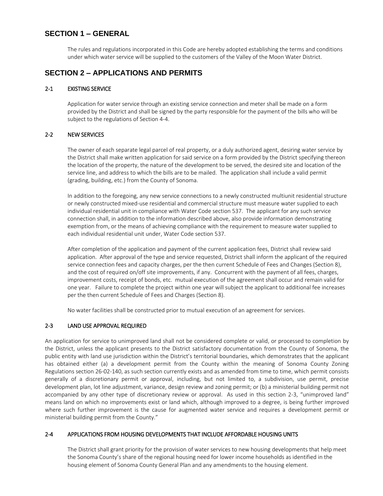# <span id="page-2-0"></span>**SECTION 1 – GENERAL**

The rules and regulations incorporated in this Code are hereby adopted establishing the terms and conditions under which water service will be supplied to the customers of the Valley of the Moon Water District.

# <span id="page-2-1"></span>**SECTION 2 – APPLICATIONS AND PERMITS**

#### <span id="page-2-2"></span>2-1 EXISTING SERVICE

Application for water service through an existing service connection and meter shall be made on a form provided by the District and shall be signed by the party responsible for the payment of the bills who will be subject to the regulations of Section 4-4.

#### <span id="page-2-3"></span>2-2 NEW SERVICES

The owner of each separate legal parcel of real property, or a duly authorized agent, desiring water service by the District shall make written application for said service on a form provided by the District specifying thereon the location of the property, the nature of the development to be served, the desired site and location of the service line, and address to which the bills are to be mailed. The application shall include a valid permit (grading, building, etc.) from the County of Sonoma.

In addition to the foregoing, any new service connections to a newly constructed multiunit residential structure or newly constructed mixed-use residential and commercial structure must measure water supplied to each individual residential unit in compliance with Water Code section 537. The applicant for any such service connection shall, in addition to the information described above, also provide information demonstrating exemption from, or the means of achieving compliance with the requirement to measure water supplied to each individual residential unit under, Water Code section 537.

After completion of the application and payment of the current application fees, District shall review said application. After approval of the type and service requested, District shall inform the applicant of the required service connection fees and capacity charges, per the then current Schedule of Fees and Changes (Section 8), and the cost of required on/off site improvements, if any. Concurrent with the payment of all fees, charges, improvement costs, receipt of bonds, etc. mutual execution of the agreement shall occur and remain valid for one year. Failure to complete the project within one year will subject the applicant to additional fee increases per the then current Schedule of Fees and Charges (Section 8).

No water facilities shall be constructed prior to mutual execution of an agreement for services.

#### <span id="page-2-4"></span>2-3 LAND USE APPROVAL REQUIRED

An application for service to unimproved land shall not be considered complete or valid, or processed to completion by the District, unless the applicant presents to the District satisfactory documentation from the County of Sonoma, the public entity with land use jurisdiction within the District's territorial boundaries, which demonstrates that the applicant has obtained either (a) a development permit from the County within the meaning of Sonoma County Zoning Regulations section 26-02-140, as such section currently exists and as amended from time to time, which permit consists generally of a discretionary permit or approval, including, but not limited to, a subdivision, use permit, precise development plan, lot line adjustment, variance, design review and zoning permit; or (b) a ministerial building permit not accompanied by any other type of discretionary review or approval. As used in this section 2-3, "unimproved land" means land on which no improvements exist or land which, although improved to a degree, is being further improved where such further improvement is the cause for augmented water service and requires a development permit or ministerial building permit from the County."

#### <span id="page-2-5"></span>2-4 APPLICATIONS FROM HOUSING DEVELOPMENTS THAT INCLUDE AFFORDABLE HOUSING UNITS

The District shall grant priority for the provision of water services to new housing developments that help meet the Sonoma County's share of the regional housing need for lower income households as identified in the housing element of Sonoma County General Plan and any amendments to the housing element.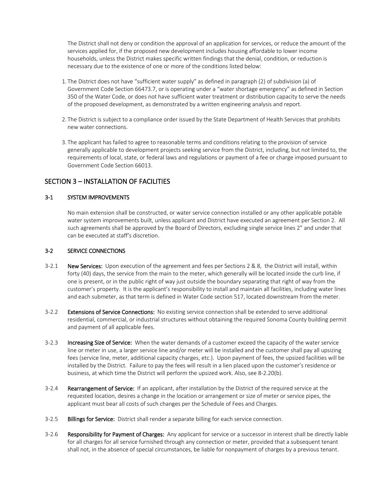The District shall not deny or condition the approval of an application for services, or reduce the amount of the services applied for, if the proposed new development includes housing affordable to lower income households, unless the District makes specific written findings that the denial, condition, or reduction is necessary due to the existence of one or more of the conditions listed below:

- 1. The District does not have "sufficient water supply" as defined in paragraph (2) of subdivision (a) of Government Code Section 66473.7, or is operating under a "water shortage emergency" as defined in Section 350 of the Water Code, or does not have sufficient water treatment or distribution capacity to serve the needs of the proposed development, as demonstrated by a written engineering analysis and report.
- 2. The District is subject to a compliance order issued by the State Department of Health Services that prohibits new water connections.
- 3. The applicant has failed to agree to reasonable terms and conditions relating to the provision of service generally applicable to development projects seeking service from the District, including, but not limited to, the requirements of local, state, or federal laws and regulations or payment of a fee or charge imposed pursuant to Government Code Section 66013.

# <span id="page-3-0"></span>SECTION 3 – INSTALLATION OF FACILITIES

#### <span id="page-3-1"></span>3-1 SYSTEM IMPROVEMENTS

No main extension shall be constructed, or water service connection installed or any other applicable potable water system improvements built, unless applicant and District have executed an agreement per Section 2. All such agreements shall be approved by the Board of Directors, excluding single service lines 2" and under that can be executed at staff's discretion.

#### <span id="page-3-2"></span>3-2 SERVICE CONNECTIONS

- 3-2.1 New Services: Upon execution of the agreement and fees per Sections 2 & 8, the District will install, within forty (40) days, the service from the main to the meter, which generally will be located inside the curb line, if one is present, or in the public right of way just outside the boundary separating that right of way from the customer's property. It is the applicant's responsibility to install and maintain all facilities, including water lines and each submeter, as that term is defined in Water Code section 517, located downstream from the meter.
- 3-2.2 Extensions of Service Connections: No existing service connection shall be extended to serve additional residential, commercial, or industrial structures without obtaining the required Sonoma County building permit and payment of all applicable fees.
- 3-2.3 Increasing Size of Service: When the water demands of a customer exceed the capacity of the water service line or meter in use, a larger service line and/or meter will be installed and the customer shall pay all upsizing fees (service line, meter, additional capacity charges, etc.). Upon payment of fees, the upsized facilities will be installed by the District. Failure to pay the fees will result in a lien placed upon the customer's residence or business, at which time the District will perform the upsized work. Also, see 8-2.20(b).
- 3-2.4 Rearrangement of Service: If an applicant, after installation by the District of the required service at the requested location, desires a change in the location or arrangement or size of meter or service pipes, the applicant must bear all costs of such changes per the Schedule of Fees and Charges.
- 3-2.5 Billings for Service: District shall render a separate billing for each service connection.
- 3-2.6 Responsibility for Payment of Charges: Any applicant for service or a successor in interest shall be directly liable for all charges for all service furnished through any connection or meter, provided that a subsequent tenant shall not, in the absence of special circumstances, be liable for nonpayment of charges by a previous tenant.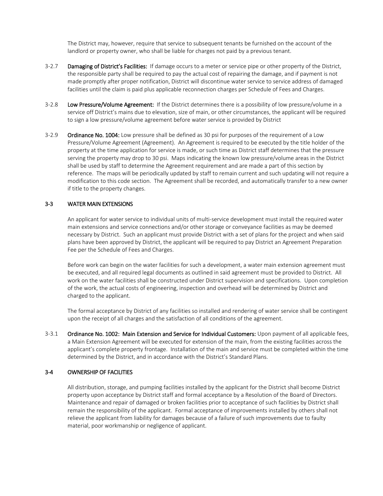The District may, however, require that service to subsequent tenants be furnished on the account of the landlord or property owner, who shall be liable for charges not paid by a previous tenant.

- 3-2.7 Damaging of District's Facilities: If damage occurs to a meter or service pipe or other property of the District, the responsible party shall be required to pay the actual cost of repairing the damage, and if payment is not made promptly after proper notification, District will discontinue water service to service address of damaged facilities until the claim is paid plus applicable reconnection charges per Schedule of Fees and Charges.
- 3-2.8 Low Pressure/Volume Agreement: If the District determines there is a possibility of low pressure/volume in a service off District's mains due to elevation, size of main, or other circumstances, the applicant will be required to sign a low pressure/volume agreement before water service is provided by District
- 3-2.9 Ordinance No. 1004: Low pressure shall be defined as 30 psi for purposes of the requirement of a Low Pressure/Volume Agreement (Agreement). An Agreement is required to be executed by the title holder of the property at the time application for service is made, or such time as District staff determines that the pressure serving the property may drop to 30 psi. Maps indicating the known low pressure/volume areas in the District shall be used by staff to determine the Agreement requirement and are made a part of this section by reference. The maps will be periodically updated by staff to remain current and such updating will not require a modification to this code section. The Agreement shall be recorded, and automatically transfer to a new owner if title to the property changes.

#### <span id="page-4-0"></span>3-3 WATER MAIN EXTENSIONS

An applicant for water service to individual units of multi-service development must install the required water main extensions and service connections and/or other storage or conveyance facilities as may be deemed necessary by District. Such an applicant must provide District with a set of plans for the project and when said plans have been approved by District, the applicant will be required to pay District an Agreement Preparation Fee per the Schedule of Fees and Charges.

Before work can begin on the water facilities for such a development, a water main extension agreement must be executed, and all required legal documents as outlined in said agreement must be provided to District. All work on the water facilities shall be constructed under District supervision and specifications. Upon completion of the work, the actual costs of engineering, inspection and overhead will be determined by District and charged to the applicant.

The formal acceptance by District of any facilities so installed and rendering of water service shall be contingent upon the receipt of all charges and the satisfaction of all conditions of the agreement.

3-3.1 Ordinance No. 1002: Main Extension and Service for Individual Customers: Upon payment of all applicable fees, a Main Extension Agreement will be executed for extension of the main, from the existing facilities across the applicant's complete property frontage. Installation of the main and service must be completed within the time determined by the District, and in accordance with the District's Standard Plans.

## <span id="page-4-1"></span>3-4 OWNERSHIP OF FACILITIES

All distribution, storage, and pumping facilities installed by the applicant for the District shall become District property upon acceptance by District staff and formal acceptance by a Resolution of the Board of Directors. Maintenance and repair of damaged or broken facilities prior to acceptance of such facilities by District shall remain the responsibility of the applicant. Formal acceptance of improvements installed by others shall not relieve the applicant from liability for damages because of a failure of such improvements due to faulty material, poor workmanship or negligence of applicant.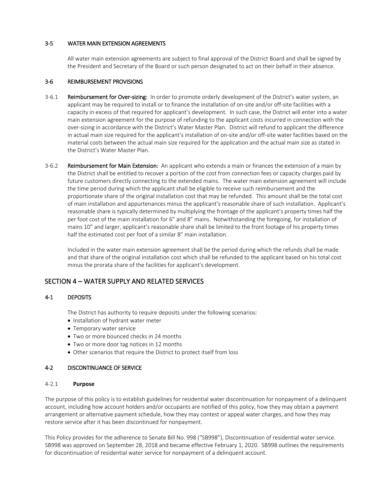#### <span id="page-5-0"></span>3-5 WATER MAIN EXTENSION AGREEMENTS

All water main extension agreements are subject to final approval of the District Board and shall be signed by the President and Secretary of the Board or such person designated to act on their behalf in their absence.

#### <span id="page-5-1"></span>3-6 REIMBURSEMENT PROVISIONS

- 3-6.1 Reimbursement for Over-sizing: In order to promote orderly development of the District's water system, an applicant may be required to install or to finance the installation of on-site and/or off-site facilities with a capacity in excess of that required for applicant's development. In such case, the District will enter into a water main extension agreement for the purpose of refunding to the applicant costs incurred in connection with the over-sizing in accordance with the District's Water Master Plan. District will refund to applicant the difference in actual main size required for the applicant's installation of on-site and/or off-site water facilities based on the material costs between the actual main size required for the application and the actual main size as stated in the District's Water Master Plan.
- 3-6.2 Reimbursement for Main Extension: An applicant who extends a main or finances the extension of a main by the District shall be entitled to recover a portion of the cost from connection fees or capacity charges paid by future customers directly connecting to the extended mains. The water main extension agreement will include the time period during which the applicant shall be eligible to receive such reimbursement and the proportionate share of the original installation cost that may be refunded. This amount shall be the total cost of main installation and appurtenances minus the applicant's reasonable share of such installation. Applicant's reasonable share is typically determined by multiplying the frontage of the applicant's property times half the per foot cost of the main installation for 6" and 8" mains. Notwithstanding the foregoing, for installation of mains 10" and larger, applicant's reasonable share shall be limited to the front footage of his property times half the estimated cost per foot of a similar 8" main installation.

Included in the water main extension agreement shall be the period during which the refunds shall be made and that share of the original installation cost which shall be refunded to the applicant based on his total cost minus the prorata share of the facilities for applicant's development.

# <span id="page-5-2"></span>SECTION 4 – WATER SUPPLY AND RELATED SERVICES

#### <span id="page-5-3"></span>4-1 DEPOSITS

The District has authority to require deposits under the following scenarios:

- Installation of hydrant water meter
- Temporary water service
- Two or more bounced checks in 24 months
- Two or more door tag notices in 12 months
- Other scenarios that require the District to protect itself from loss

#### <span id="page-5-4"></span>4-2 DISCONTINUANCE OF SERVICE

#### 4-2.1 **Purpose**

The purpose of this policy is to establish guidelines for residential water discontinuation for nonpayment of a delinquent account, including how account holders and/or occupants are notified of this policy, how they may obtain a payment arrangement or alternative payment schedule, how they may contest or appeal water charges, and how they may restore service after it has been discontinued for nonpayment.

This Policy provides for the adherence to Senate Bill No. 998 ("SB998"), Discontinuation of residential water service. SB998 was approved on September 28, 2018 and became effective February 1, 2020. SB998 outlines the requirements for discontinuation of residential water service for nonpayment of a delinquent account.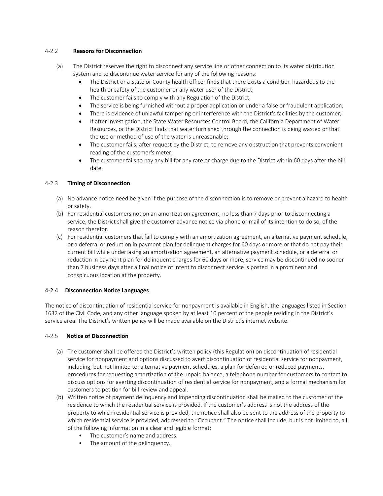#### 4-2.2 **Reasons for Disconnection**

- (a) The District reserves the right to disconnect any service line or other connection to its water distribution system and to discontinue water service for any of the following reasons:
	- The District or a State or County health officer finds that there exists a condition hazardous to the health or safety of the customer or any water user of the District;
	- The customer fails to comply with any Regulation of the District;
	- The service is being furnished without a proper application or under a false or fraudulent application;
	- There is evidence of unlawful tampering or interference with the District's facilities by the customer;
	- If after investigation, the State Water Resources Control Board, the California Department of Water Resources, or the District finds that water furnished through the connection is being wasted or that the use or method of use of the water is unreasonable;
	- The customer fails, after request by the District, to remove any obstruction that prevents convenient reading of the customer's meter;
	- The customer fails to pay any bill for any rate or charge due to the District within 60 days after the bill date.

#### 4-2.3 **Timing of Disconnection**

- (a) No advance notice need be given if the purpose of the disconnection is to remove or prevent a hazard to health or safety.
- (b) For residential customers not on an amortization agreement, no less than 7 days prior to disconnecting a service, the District shall give the customer advance notice via phone or mail of its intention to do so, of the reason therefor.
- (c) For residential customers that fail to comply with an amortization agreement, an alternative payment schedule, or a deferral or reduction in payment plan for delinquent charges for 60 days or more or that do not pay their current bill while undertaking an amortization agreement, an alternative payment schedule, or a deferral or reduction in payment plan for delinquent charges for 60 days or more, service may be discontinued no sooner than 7 business days after a final notice of intent to disconnect service is posted in a prominent and conspicuous location at the property.

#### 4-2.4 **Disconnection Notice Languages**

The notice of discontinuation of residential service for nonpayment is available in English, the languages listed in Section 1632 of the Civil Code, and any other language spoken by at least 10 percent of the people residing in the District's service area. The District's written policy will be made available on the District's internet website.

#### 4-2.5 **Notice of Disconnection**

- (a) The customer shall be offered the District's written policy (this Regulation) on discontinuation of residential service for nonpayment and options discussed to avert discontinuation of residential service for nonpayment, including, but not limited to: alternative payment schedules, a plan for deferred or reduced payments, procedures for requesting amortization of the unpaid balance, a telephone number for customers to contact to discuss options for averting discontinuation of residential service for nonpayment, and a formal mechanism for customers to petition for bill review and appeal.
- (b) Written notice of payment delinquency and impending discontinuation shall be mailed to the customer of the residence to which the residential service is provided. If the customer's address is not the address of the property to which residential service is provided, the notice shall also be sent to the address of the property to which residential service is provided, addressed to "Occupant." The notice shall include, but is not limited to, all of the following information in a clear and legible format:
	- The customer's name and address.
	- The amount of the delinquency.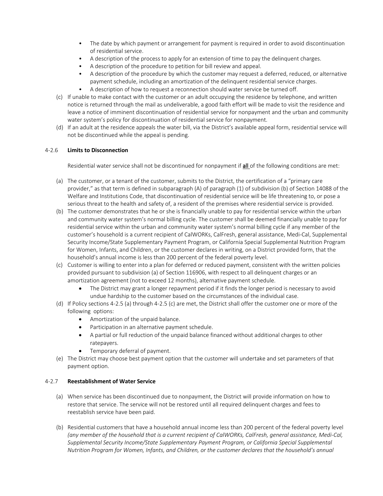- The date by which payment or arrangement for payment is required in order to avoid discontinuation of residential service.
- A description of the process to apply for an extension of time to pay the delinquent charges.
- A description of the procedure to petition for bill review and appeal.
- A description of the procedure by which the customer may request a deferred, reduced, or alternative payment schedule, including an amortization of the delinquent residential service charges.
- A description of how to request a reconnection should water service be turned off.
- (c) If unable to make contact with the customer or an adult occupying the residence by telephone, and written notice is returned through the mail as undeliverable, a good faith effort will be made to visit the residence and leave a notice of imminent discontinuation of residential service for nonpayment and the urban and community water system's policy for discontinuation of residential service for nonpayment.
- (d) If an adult at the residence appeals the water bill, via the District's available appeal form, residential service will not be discontinued while the appeal is pending.

#### 4-2.6 **Limits to Disconnection**

Residential water service shall not be discontinued for nonpayment if all of the following conditions are met:

- (a) The customer, or a tenant of the customer, submits to the District, the certification of a "primary care provider," as that term is defined in subparagraph (A) of paragraph (1) of subdivision (b) of Section 14088 of the Welfare and Institutions Code, that discontinuation of residential service will be life threatening to, or pose a serious threat to the health and safety of, a resident of the premises where residential service is provided.
- (b) The customer demonstrates that he or she is financially unable to pay for residential service within the urban and community water system's normal billing cycle. The customer shall be deemed financially unable to pay for residential service within the urban and community water system's normal billing cycle if any member of the customer's household is a current recipient of CalWORKs, CalFresh, general assistance, Medi-Cal, Supplemental Security Income/State Supplementary Payment Program, or California Special Supplemental Nutrition Program for Women, Infants, and Children, or the customer declares in writing, on a District provided form, that the household's annual income is less than 200 percent of the federal poverty level.
- (c) Customer is willing to enter into a plan for deferred or reduced payment, consistent with the written policies provided pursuant to subdivision (a) of Section 116906, with respect to all delinquent charges or an amortization agreement (not to exceed 12 months), alternative payment schedule.
	- The District may grant a longer repayment period if it finds the longer period is necessary to avoid undue hardship to the customer based on the circumstances of the individual case.
- (d) If Policy sections 4-2.5 (a) through 4-2.5 (c) are met, the District shall offer the customer one or more of the following options:
	- Amortization of the unpaid balance.
	- Participation in an alternative payment schedule.
	- A partial or full reduction of the unpaid balance financed without additional charges to other ratepayers.
	- Temporary deferral of payment.
- (e) The District may choose best payment option that the customer will undertake and set parameters of that payment option.

#### 4-2.7 **Reestablishment of Water Service**

- (a) When service has been discontinued due to nonpayment, the District will provide information on how to restore that service. The service will not be restored until all required delinquent charges and fees to reestablish service have been paid.
- (b) Residential customers that have a household annual income less than 200 percent of the federal poverty level *(any member of the household that is a current recipient of CalWORKs, CalFresh, general assistance, Medi-Cal, Supplemental Security Income/State Supplementary Payment Program, or California Special Supplemental Nutrition Program for Women, Infants, and Children, or the customer declares that the household's annual*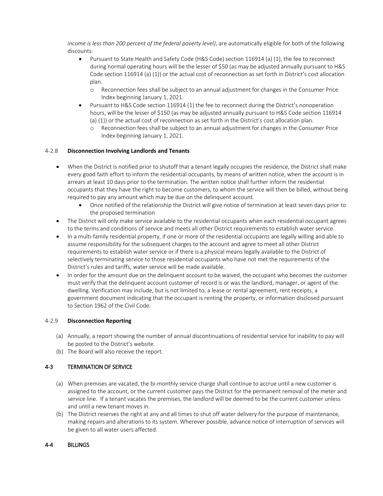*income is less than 200 percent of the federal poverty level)*, are automatically eligible for both of the following discounts:

- Pursuant to State Health and Safety Code (H&S Code) section 116914 (a) (1), the fee to reconnect during normal operating hours will be the lesser of \$50 (as may be adjusted annually pursuant to H&S Code section 116914 (a) (1)) or the actual cost of reconnection as set forth in District's cost allocation plan.
	- o Reconnection fees shall be subject to an annual adjustment for changes in the Consumer Price Index beginning January 1, 2021.
- Pursuant to H&S Code section 116914 (1) the fee to reconnect during the District's nonoperation hours, will be the lesser of \$150 (as may be adjusted annually pursuant to H&S Code section 116914 (a) (1)) or the actual cost of reconnection as set forth in the District's cost allocation plan.
	- o Reconnection fees shall be subject to an annual adjustment for changes in the Consumer Price Index beginning January 1, 2021.

#### 4-2.8 **Disconnection Involving Landlords and Tenants**

- When the District is notified prior to shutoff that a tenant legally occupies the residence, the District shall make every good faith effort to inform the residential occupants, by means of written notice, when the account is in arrears at least 10 days prior to the termination. The written notice shall further inform the residential occupants that they have the right to become customers, to whom the service will then be billed, without being required to pay any amount which may be due on the delinquent account.
	- Once notified of the relationship the District will give notice of termination at least seven days prior to the proposed termination
- The District will only make service available to the residential occupants when each residential occupant agrees to the terms and conditions of service and meets all other District requirements to establish water service.
- In a multi-family residential property, if one or more of the residential occupants are legally willing and able to assume responsibility for the subsequent charges to the account and agree to meet all other District requirements to establish water service or if there is a physical means legally available to the District of selectively terminating service to those residential occupants who have not met the requirements of the District's rules and tariffs, water service will be made available.
- In order for the amount due on the delinquent account to be waived, the occupant who becomes the customer must verify that the delinquent account customer of record is or was the landlord, manager, or agent of the dwelling. Verification may include, but is not limited to, a lease or rental agreement, rent receipts, a government document indicating that the occupant is renting the property, or information disclosed pursuant to Section 1962 of the Civil Code.

#### 4-2.9 **Disconnection Reporting**

- (a) Annually, a report showing the number of annual discontinuations of residential service for inability to pay will be posted to the District's website.
- (b) The Board will also receive the report.

#### <span id="page-8-0"></span>4-3 TERMINATION OF SERVICE

- (a) When premises are vacated, the bi-monthly service charge shall continue to accrue until a new customer is assigned to the account, or the current customer pays the District for the permanent removal of the meter and service line. If a tenant vacates the premises, the landlord will be deemed to be the current customer unless and until a new tenant moves in.
- (b) The District reserves the right at any and all times to shut off water delivery for the purpose of maintenance, making repairs and alterations to its system. Wherever possible, advance notice of interruption of services will be given to all water users affected.

#### <span id="page-8-1"></span>4-4 BILLINGS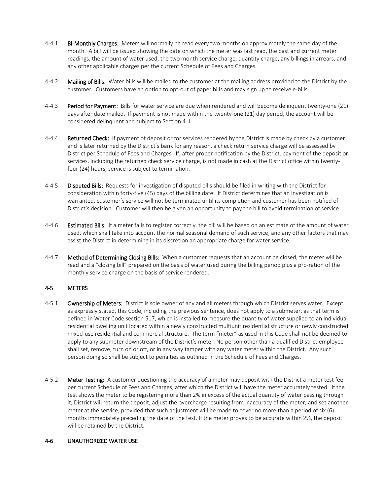- 4-4.1 Bi-Monthly Charges: Meters will normally be read every two months on approximately the same day of the month. A bill will be issued showing the date on which the meter was last read, the past and current meter readings, the amount of water used, the two month service charge, quantity charge, any billings in arrears, and any other applicable charges per the current Schedule of Fees and Charges.
- 4-4.2 Mailing of Bills: Water bills will be mailed to the customer at the mailing address provided to the District by the customer. Customers have an option to opt-out of paper bills and may sign up to receive e-bills.
- 4-4.3 Period for Payment: Bills for water service are due when rendered and will become delinguent twenty-one (21) days after date mailed. If payment is not made within the twenty-one (21) day period, the account will be considered delinquent and subject to Section 4-1.
- 4-4.4 Returned Check: If payment of deposit or for services rendered by the District is made by check by a customer and is later returned by the District's bank for any reason, a check return service charge will be assessed by District per Schedule of Fees and Charges. If, after proper notification by the District, payment of the deposit or services, including the returned check service charge, is not made in cash at the District office within twentyfour (24) hours, service is subject to termination.
- 4-4.5 Disputed Bills: Requests for investigation of disputed bills should be filed in writing with the District for consideration within forty-five (45) days of the billing date. If District determines that an investigation is warranted, customer's service will not be terminated until its completion and customer has been notified of District's decision. Customer will then be given an opportunity to pay the bill to avoid termination of service.
- 4-4.6 Estimated Bills: If a meter fails to register correctly, the bill will be based on an estimate of the amount of water used, which shall take into account the normal seasonal demand of such service, and any other factors that may assist the District in determining in its discretion an appropriate charge for water service.
- 4-4.7 Method of Determining Closing Bills: When a customer requests that an account be closed, the meter will be read and a "closing bill" prepared on the basis of water used during the billing period plus a pro-ration of the monthly service charge on the basis of service rendered.

## <span id="page-9-0"></span>4-5 METERS

- 4-5.1 Ownership of Meters: District is sole owner of any and all meters through which District serves water. Except as expressly stated, this Code, including the previous sentence, does not apply to a submeter, as that term is defined in Water Code section 517, which is installed to measure the quantity of water supplied to an individual residential dwelling unit located within a newly constructed multiunit residential structure or newly constructed mixed-use residential and commercial structure. The term "meter" as used in this Code shall not be deemed to apply to any submeter downstream of the District's meter. No person other than a qualified District employee shall set, remove, turn on or off, or in any way tamper with any water meter within the District. Any such person doing so shall be subject to penalties as outlined in the Schedule of Fees and Charges.
- 4-5.2 Meter Testing: A customer questioning the accuracy of a meter may deposit with the District a meter test fee per current Schedule of Fees and Charges, after which the District will have the meter accurately tested. If the test shows the meter to be registering more than 2% in excess of the actual quantity of water passing through it, District will return the deposit, adjust the overcharge resulting from inaccuracy of the meter, and set another meter at the service, provided that such adjustment will be made to cover no more than a period of six (6) months immediately preceding the date of the test. If the meter proves to be accurate within 2%, the deposit will be retained by the District.

#### <span id="page-9-1"></span>4-6 UNAUTHORIZED WATER USE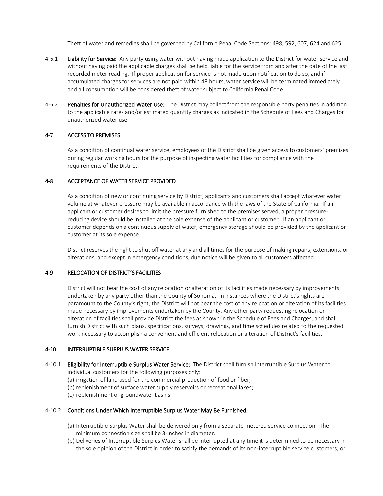Theft of water and remedies shall be governed by California Penal Code Sections: 498, 592, 607, 624 and 625.

- 4-6.1 Liability for Service: Any party using water without having made application to the District for water service and without having paid the applicable charges shall be held liable for the service from and after the date of the last recorded meter reading. If proper application for service is not made upon notification to do so, and if accumulated charges for services are not paid within 48 hours, water service will be terminated immediately and all consumption will be considered theft of water subject to California Penal Code.
- 4-6.2 Penalties for Unauthorized Water Use: The District may collect from the responsible party penalties in addition to the applicable rates and/or estimated quantity charges as indicated in the Schedule of Fees and Charges for unauthorized water use.

#### <span id="page-10-0"></span>4-7 ACCESS TO PREMISES

As a condition of continual water service, employees of the District shall be given access to customers' premises during regular working hours for the purpose of inspecting water facilities for compliance with the requirements of the District.

#### <span id="page-10-1"></span>4-8 ACCEPTANCE OF WATER SERVICE PROVIDED

As a condition of new or continuing service by District, applicants and customers shall accept whatever water volume at whatever pressure may be available in accordance with the laws of the State of California. If an applicant or customer desires to limit the pressure furnished to the premises served, a proper pressurereducing device should be installed at the sole expense of the applicant or customer. If an applicant or customer depends on a continuous supply of water, emergency storage should be provided by the applicant or customer at its sole expense.

District reserves the right to shut off water at any and all times for the purpose of making repairs, extensions, or alterations, and except in emergency conditions, due notice will be given to all customers affected.

#### <span id="page-10-2"></span>4-9 RELOCATION OF DISTRICT'S FACILITIES

District will not bear the cost of any relocation or alteration of its facilities made necessary by improvements undertaken by any party other than the County of Sonoma. In instances where the District's rights are paramount to the County's right, the District will not bear the cost of any relocation or alteration of its facilities made necessary by improvements undertaken by the County. Any other party requesting relocation or alteration of facilities shall provide District the fees as shown in the Schedule of Fees and Charges, and shall furnish District with such plans, specifications, surveys, drawings, and time schedules related to the requested work necessary to accomplish a convenient and efficient relocation or alteration of District's facilities.

#### <span id="page-10-3"></span>4-10 INTERRUPTIBLE SURPLUS WATER SERVICE

- 4-10.1 Eligibility for Interruptible Surplus Water Service: The District shall furnish Interruptible Surplus Water to individual customers for the following purposes only:
	- (a) irrigation of land used for the commercial production of food or fiber;
	- (b) replenishment of surface water supply reservoirs or recreational lakes;
	- (c) replenishment of groundwater basins.

#### 4-10.2 Conditions Under Which Interruptible Surplus Water May Be Furnished:

- (a) Interruptible Surplus Water shall be delivered only from a separate metered service connection. The minimum connection size shall be 3-inches in diameter.
- (b) Deliveries of Interruptible Surplus Water shall be interrupted at any time it is determined to be necessary in the sole opinion of the District in order to satisfy the demands of its non-interruptible service customers; or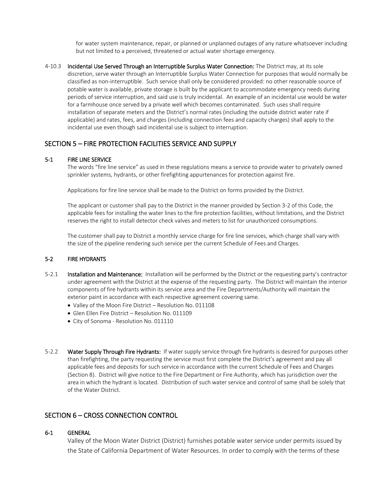for water system maintenance, repair, or planned or unplanned outages of any nature whatsoever including but not limited to a perceived, threatened or actual water shortage emergency.

4-10.3 Incidental Use Served Through an Interruptible Surplus Water Connection: The District may, at its sole discretion, serve water through an Interruptible Surplus Water Connection for purposes that would normally be classified as non-interruptible. Such service shall only be considered provided: no other reasonable source of potable water is available, private storage is built by the applicant to accommodate emergency needs during periods of service interruption, and said use is truly incidental. An example of an incidental use would be water for a farmhouse once served by a private well which becomes contaminated. Such uses shall require installation of separate meters and the District's normal rates (including the outside district water rate if applicable) and rates, fees, and charges (including connection fees and capacity charges) shall apply to the incidental use even though said incidental use is subject to interruption.

# <span id="page-11-0"></span>SECTION 5 – FIRE PROTECTION FACILITIES SERVICE AND SUPPLY

#### <span id="page-11-1"></span>5-1 FIRE LINE SERVICE

The words "fire line service" as used in these regulations means a service to provide water to privately owned sprinkler systems, hydrants, or other firefighting appurtenances for protection against fire.

Applications for fire line service shall be made to the District on forms provided by the District.

The applicant or customer shall pay to the District in the manner provided by Section 3-2 of this Code, the applicable fees for installing the water lines to the fire protection facilities, without limitations, and the District reserves the right to install detector check valves and meters to list for unauthorized consumptions.

The customer shall pay to District a monthly service charge for fire line services, which charge shall vary with the size of the pipeline rendering such service per the current Schedule of Fees and Charges.

#### <span id="page-11-2"></span>5-2 FIRE HYDRANTS

- 5-2.1 Installation and Maintenance: Installation will be performed by the District or the requesting party's contractor under agreement with the District at the expense of the requesting party. The District will maintain the interior components of fire hydrants within its service area and the Fire Departments/Authority will maintain the exterior paint in accordance with each respective agreement covering same.
	- Valley of the Moon Fire District Resolution No. 011108
	- Glen Ellen Fire District Resolution No. 011109
	- City of Sonoma Resolution No. 011110
- 5-2.2 Water Supply Through Fire Hydrants: If water supply service through fire hydrants is desired for purposes other than firefighting, the party requesting the service must first complete the District's agreement and pay all applicable fees and deposits for such service in accordance with the current Schedule of Fees and Charges (Section 8). District will give notice to the Fire Department or Fire Authority, which has jurisdiction over the area in which the hydrant is located. Distribution of such water service and control of same shall be solely that of the Water District.

# <span id="page-11-3"></span>SECTION 6 – CROSS CONNECTION CONTROL

## <span id="page-11-4"></span>6-1 GENERAL

Valley of the Moon Water District (District) furnishes potable water service under permits issued by the State of California Department of Water Resources. In order to comply with the terms of these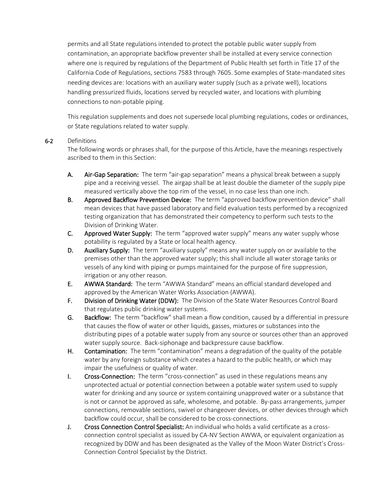permits and all State regulations intended to protect the potable public water supply from contamination, an appropriate backflow preventer shall be installed at every service connection where one is required by regulations of the Department of Public Health set forth in Title 17 of the California Code of Regulations, sections 7583 through 7605. Some examples of State-mandated sites needing devices are: locations with an auxiliary water supply (such as a private well), locations handling pressurized fluids, locations served by recycled water, and locations with plumbing connections to non-potable piping.

This regulation supplements and does not supersede local plumbing regulations, codes or ordinances, or State regulations related to water supply.

# <span id="page-12-0"></span>6-2 Definitions

The following words or phrases shall, for the purpose of this Article, have the meanings respectively ascribed to them in this Section:

- A. Air-Gap Separation: The term "air-gap separation" means a physical break between a supply pipe and a receiving vessel. The airgap shall be at least double the diameter of the supply pipe measured vertically above the top rim of the vessel, in no case less than one inch.
- B. Approved Backflow Prevention Device: The term "approved backflow prevention device" shall mean devices that have passed laboratory and field evaluation tests performed by a recognized testing organization that has demonstrated their competency to perform such tests to the Division of Drinking Water.
- C. Approved Water Supply: The term "approved water supply" means any water supply whose potability is regulated by a State or local health agency.
- D. Auxiliary Supply: The term "auxiliary supply" means any water supply on or available to the premises other than the approved water supply; this shall include all water storage tanks or vessels of any kind with piping or pumps maintained for the purpose of fire suppression, irrigation or any other reason.
- E. AWWA Standard: The term "AWWA Standard" means an official standard developed and approved by the American Water Works Association (AWWA).
- F. Division of Drinking Water (DDW): The Division of the State Water Resources Control Board that regulates public drinking water systems.
- G. Backflow: The term "backflow" shall mean a flow condition, caused by a differential in pressure that causes the flow of water or other liquids, gasses, mixtures or substances into the distributing pipes of a potable water supply from any source or sources other than an approved water supply source. Back-siphonage and backpressure cause backflow.
- H. Contamination: The term "contamination" means a degradation of the quality of the potable water by any foreign substance which creates a hazard to the public health, or which may impair the usefulness or quality of water.
- **I.** Cross-Connection: The term "cross-connection" as used in these regulations means any unprotected actual or potential connection between a potable water system used to supply water for drinking and any source or system containing unapproved water or a substance that is not or cannot be approved as safe, wholesome, and potable. By-pass arrangements, jumper connections, removable sections, swivel or changeover devices, or other devices through which backflow could occur, shall be considered to be cross-connections.
- J. Cross Connection Control Specialist: An individual who holds a valid certificate as a crossconnection control specialist as issued by CA-NV Section AWWA, or equivalent organization as recognized by DDW and has been designated as the Valley of the Moon Water District's Cross-Connection Control Specialist by the District.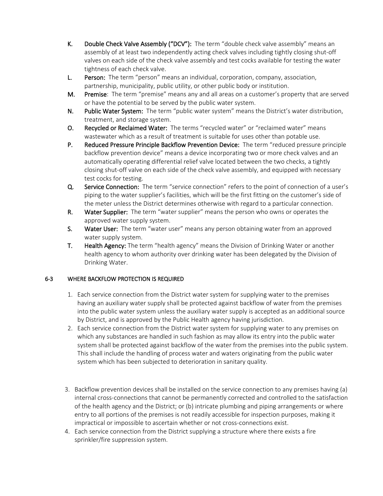- K. Double Check Valve Assembly ("DCV"): The term "double check valve assembly" means an assembly of at least two independently acting check valves including tightly closing shut-off valves on each side of the check valve assembly and test cocks available for testing the water tightness of each check valve.
- L. Person: The term "person" means an individual, corporation, company, association, partnership, municipality, public utility, or other public body or institution.
- M. Premise: The term "premise" means any and all areas on a customer's property that are served or have the potential to be served by the public water system.
- N. Public Water System: The term "public water system" means the District's water distribution, treatment, and storage system.
- O. Recycled or Reclaimed Water: The terms "recycled water" or "reclaimed water" means wastewater which as a result of treatment is suitable for uses other than potable use.
- P. Reduced Pressure Principle Backflow Prevention Device: The term "reduced pressure principle backflow prevention device" means a device incorporating two or more check valves and an automatically operating differential relief valve located between the two checks, a tightly closing shut-off valve on each side of the check valve assembly, and equipped with necessary test cocks for testing.
- Q. Service Connection: The term "service connection" refers to the point of connection of a user's piping to the water supplier's facilities, which will be the first fitting on the customer's side of the meter unless the District determines otherwise with regard to a particular connection.
- R. Water Supplier: The term "water supplier" means the person who owns or operates the approved water supply system.
- S. Water User: The term "water user" means any person obtaining water from an approved water supply system.
- T. Health Agency: The term "health agency" means the Division of Drinking Water or another health agency to whom authority over drinking water has been delegated by the Division of Drinking Water.

# 6-3 WHERE BACKFLOW PROTECTION IS REQUIRED

- 1. Each service connection from the District water system for supplying water to the premises having an auxiliary water supply shall be protected against backflow of water from the premises into the public water system unless the auxiliary water supply is accepted as an additional source by District, and is approved by the Public Health agency having jurisdiction.
- 2. Each service connection from the District water system for supplying water to any premises on which any substances are handled in such fashion as may allow its entry into the public water system shall be protected against backflow of the water from the premises into the public system. This shall include the handling of process water and waters originating from the public water system which has been subjected to deterioration in sanitary quality.
- 3. Backflow prevention devices shall be installed on the service connection to any premises having (a) internal cross-connections that cannot be permanently corrected and controlled to the satisfaction of the health agency and the District; or (b) intricate plumbing and piping arrangements or where entry to all portions of the premises is not readily accessible for inspection purposes, making it impractical or impossible to ascertain whether or not cross-connections exist.
- 4. Each service connection from the District supplying a structure where there exists a fire sprinkler/fire suppression system.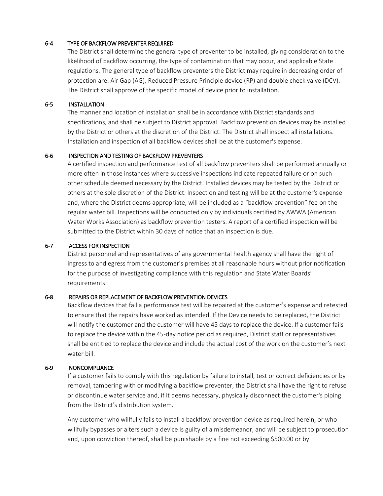#### <span id="page-14-0"></span>6-4 TYPE OF BACKFLOW PREVENTER REQUIRED

The District shall determine the general type of preventer to be installed, giving consideration to the likelihood of backflow occurring, the type of contamination that may occur, and applicable State regulations. The general type of backflow preventers the District may require in decreasing order of protection are: Air Gap (AG), Reduced Pressure Principle device (RP) and double check valve (DCV). The District shall approve of the specific model of device prior to installation.

#### <span id="page-14-1"></span>6-5 INSTALLATION

The manner and location of installation shall be in accordance with District standards and specifications, and shall be subject to District approval. Backflow prevention devices may be installed by the District or others at the discretion of the District. The District shall inspect all installations. Installation and inspection of all backflow devices shall be at the customer's expense.

#### <span id="page-14-2"></span>6-6 INSPECTION AND TESTING OF BACKFLOW PREVENTERS

A certified inspection and performance test of all backflow preventers shall be performed annually or more often in those instances where successive inspections indicate repeated failure or on such other schedule deemed necessary by the District. Installed devices may be tested by the District or others at the sole discretion of the District. Inspection and testing will be at the customer's expense and, where the District deems appropriate, will be included as a "backflow prevention" fee on the regular water bill. Inspections will be conducted only by individuals certified by AWWA (American Water Works Association) as backflow prevention testers. A report of a certified inspection will be submitted to the District within 30 days of notice that an inspection is due.

#### <span id="page-14-3"></span>6-7 ACCESS FOR INSPECTION

District personnel and representatives of any governmental health agency shall have the right of ingress to and egress from the customer's premises at all reasonable hours without prior notification for the purpose of investigating compliance with this regulation and State Water Boards' requirements.

## <span id="page-14-4"></span>6-8 REPAIRS OR REPLACEMENT OF BACKFLOW PREVENTION DEVICES

Backflow devices that fail a performance test will be repaired at the customer's expense and retested to ensure that the repairs have worked as intended. If the Device needs to be replaced, the District will notify the customer and the customer will have 45 days to replace the device. If a customer fails to replace the device within the 45-day notice period as required, District staff or representatives shall be entitled to replace the device and include the actual cost of the work on the customer's next water bill.

#### <span id="page-14-5"></span>6-9 NONCOMPLIANCE

If a customer fails to comply with this regulation by failure to install, test or correct deficiencies or by removal, tampering with or modifying a backflow preventer, the District shall have the right to refuse or discontinue water service and, if it deems necessary, physically disconnect the customer's piping from the District's distribution system.

Any customer who willfully fails to install a backflow prevention device as required herein, or who willfully bypasses or alters such a device is guilty of a misdemeanor, and will be subject to prosecution and, upon conviction thereof, shall be punishable by a fine not exceeding \$500.00 or by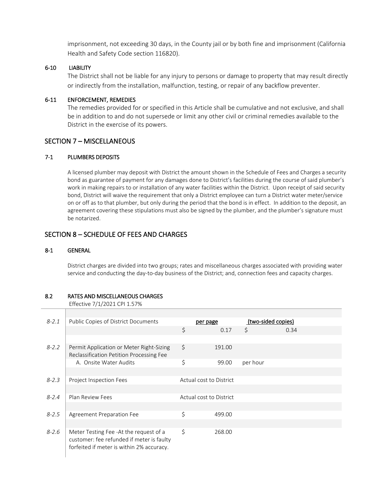imprisonment, not exceeding 30 days, in the County jail or by both fine and imprisonment (California Health and Safety Code section 116820).

#### <span id="page-15-0"></span>6-10 LIABILITY

The District shall not be liable for any injury to persons or damage to property that may result directly or indirectly from the installation, malfunction, testing, or repair of any backflow preventer.

#### 6-11 ENFORCEMENT, REMEDIES

The remedies provided for or specified in this Article shall be cumulative and not exclusive, and shall be in addition to and do not supersede or limit any other civil or criminal remedies available to the District in the exercise of its powers.

# <span id="page-15-1"></span>SECTION 7 – MISCELLANEOUS

#### <span id="page-15-2"></span>7-1 PLUMBERS DEPOSITS

A licensed plumber may deposit with District the amount shown in the Schedule of Fees and Charges a security bond as guarantee of payment for any damages done to District's facilities during the course of said plumber's work in making repairs to or installation of any water facilities within the District. Upon receipt of said security bond, District will waive the requirement that only a District employee can turn a District water meter/service on or off as to that plumber, but only during the period that the bond is in effect. In addition to the deposit, an agreement covering these stipulations must also be signed by the plumber, and the plumber's signature must be notarized.

# <span id="page-15-3"></span>SECTION 8 – SCHEDULE OF FEES AND CHARGES

#### <span id="page-15-4"></span>8-1 GENERAL

District charges are divided into two groups; rates and miscellaneous charges associated with providing water service and conducting the day-to-day business of the District; and, connection fees and capacity charges.

#### <span id="page-15-5"></span>RATES AND MISCELLANEOUS CHARGES

Effective 7/1/2021 CPI 1.57%

| $8 - 2.1$ | Public Copies of District Documents                                                                                               |                         | per page | (two-sided copies) |      |
|-----------|-----------------------------------------------------------------------------------------------------------------------------------|-------------------------|----------|--------------------|------|
|           |                                                                                                                                   | \$                      | 0.17     | \$                 | 0.34 |
|           |                                                                                                                                   |                         |          |                    |      |
| $8 - 2.2$ | Permit Application or Meter Right-Sizing<br>Reclassification Petition Processing Fee                                              | \$                      | 191.00   |                    |      |
|           | A. Onsite Water Audits                                                                                                            | \$                      | 99.00    | per hour           |      |
|           |                                                                                                                                   |                         |          |                    |      |
| $8 - 2.3$ | Project Inspection Fees                                                                                                           | Actual cost to District |          |                    |      |
|           |                                                                                                                                   |                         |          |                    |      |
| $8 - 2.4$ | Plan Review Fees                                                                                                                  | Actual cost to District |          |                    |      |
|           |                                                                                                                                   |                         |          |                    |      |
| $8 - 2.5$ | Agreement Preparation Fee                                                                                                         | \$                      | 499.00   |                    |      |
|           |                                                                                                                                   |                         |          |                    |      |
| $8 - 2.6$ | Meter Testing Fee - At the request of a<br>customer: fee refunded if meter is faulty<br>forfeited if meter is within 2% accuracy. | \$                      | 268.00   |                    |      |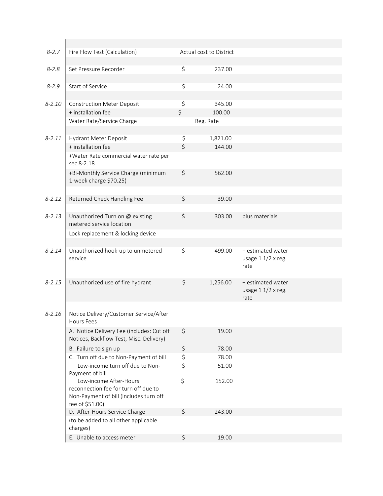| $8 - 2.7$  | Fire Flow Test (Calculation)                                   |         | Actual cost to District |                                          |  |
|------------|----------------------------------------------------------------|---------|-------------------------|------------------------------------------|--|
|            |                                                                |         |                         |                                          |  |
| $8 - 2.8$  | Set Pressure Recorder                                          | \$      | 237.00                  |                                          |  |
|            |                                                                |         |                         |                                          |  |
| $8 - 2.9$  | Start of Service                                               | \$      | 24.00                   |                                          |  |
|            |                                                                |         |                         |                                          |  |
| $8 - 2.10$ | <b>Construction Meter Deposit</b>                              | \$      | 345.00                  |                                          |  |
|            | + installation fee                                             | \$      | 100.00                  |                                          |  |
|            | Water Rate/Service Charge                                      |         | Reg. Rate               |                                          |  |
| $8 - 2.11$ | Hydrant Meter Deposit                                          | \$      | 1,821.00                |                                          |  |
|            | + installation fee                                             | $\zeta$ | 144.00                  |                                          |  |
|            | +Water Rate commercial water rate per                          |         |                         |                                          |  |
|            | sec 8-2.18                                                     |         |                         |                                          |  |
|            | +Bi-Monthly Service Charge (minimum                            | \$      | 562.00                  |                                          |  |
|            | 1-week charge \$70.25)                                         |         |                         |                                          |  |
|            |                                                                |         |                         |                                          |  |
| $8 - 2.12$ | Returned Check Handling Fee                                    | \$      | 39.00                   |                                          |  |
|            |                                                                |         |                         |                                          |  |
| $8 - 2.13$ | Unauthorized Turn on @ existing                                | \$      | 303.00                  | plus materials                           |  |
|            | metered service location                                       |         |                         |                                          |  |
|            | Lock replacement & locking device                              |         |                         |                                          |  |
|            |                                                                |         |                         |                                          |  |
| $8 - 2.14$ | Unauthorized hook-up to unmetered<br>service                   | \$      | 499.00                  | + estimated water<br>usage $11/2$ x reg. |  |
|            |                                                                |         |                         | rate                                     |  |
|            |                                                                |         |                         |                                          |  |
| $8 - 2.15$ | Unauthorized use of fire hydrant                               | \$      | 1,256.00                | + estimated water                        |  |
|            |                                                                |         |                         | usage $11/2$ x reg.                      |  |
|            |                                                                |         |                         | rate                                     |  |
| $8 - 2.16$ | Notice Delivery/Customer Service/After                         |         |                         |                                          |  |
|            | <b>Hours Fees</b>                                              |         |                         |                                          |  |
|            | A. Notice Delivery Fee (includes: Cut off                      | \$      | 19.00                   |                                          |  |
|            | Notices, Backflow Test, Misc. Delivery)                        |         |                         |                                          |  |
|            | B. Failure to sign up                                          | \$      | 78.00                   |                                          |  |
|            | C. Turn off due to Non-Payment of bill                         | \$      | 78.00                   |                                          |  |
|            | Low-income turn off due to Non-                                | \$      | 51.00                   |                                          |  |
|            | Payment of bill                                                |         |                         |                                          |  |
|            | Low-income After-Hours<br>reconnection fee for turn off due to | \$      | 152.00                  |                                          |  |
|            | Non-Payment of bill (includes turn off                         |         |                         |                                          |  |
|            | fee of \$51.00)                                                |         |                         |                                          |  |
|            | D. After-Hours Service Charge                                  | \$      | 243.00                  |                                          |  |
|            | (to be added to all other applicable                           |         |                         |                                          |  |
|            | charges)                                                       |         |                         |                                          |  |
|            | E. Unable to access meter                                      | \$      | 19.00                   |                                          |  |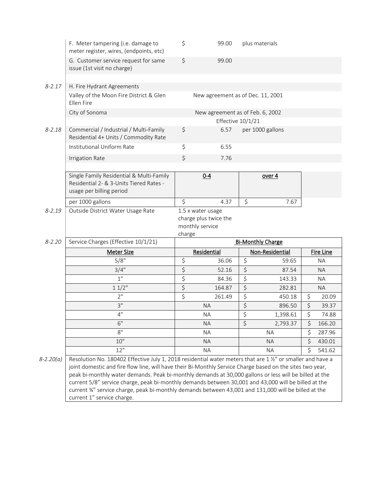|            | F. Meter tampering (i.e. damage to<br>meter register, wires, (endpoints, etc)                                      | \$                   | 99.00                                                         | plus materials                    |                |         |                  |
|------------|--------------------------------------------------------------------------------------------------------------------|----------------------|---------------------------------------------------------------|-----------------------------------|----------------|---------|------------------|
|            | G. Customer service request for same<br>issue (1st visit no charge)                                                | \$                   | 99.00                                                         |                                   |                |         |                  |
| $8 - 2.17$ | H. Fire Hydrant Agreements                                                                                         |                      |                                                               |                                   |                |         |                  |
|            | Valley of the Moon Fire District & Glen<br>Ellen Fire                                                              |                      |                                                               | New agreement as of Dec. 11, 2001 |                |         |                  |
|            | City of Sonoma                                                                                                     |                      |                                                               | New agreement as of Feb. 6, 2002  |                |         |                  |
|            |                                                                                                                    |                      | Effective 10/1/21                                             |                                   |                |         |                  |
| $8 - 2.18$ | Commercial / Industrial / Multi-Family<br>Residential 4+ Units / Commodity Rate                                    | \$                   | 6.57                                                          | per 1000 gallons                  |                |         |                  |
|            | Institutional Uniform Rate                                                                                         | \$                   | 6.55                                                          |                                   |                |         |                  |
|            | <b>Irrigation Rate</b>                                                                                             | \$                   | 7.76                                                          |                                   |                |         |                  |
|            |                                                                                                                    |                      |                                                               |                                   |                |         |                  |
|            | Single Family Residential & Multi-Family<br>Residential 2- & 3-Units Tiered Rates -<br>usage per billing period    |                      | $0 - 4$                                                       | <u>over 4</u>                     |                |         |                  |
|            | per 1000 gallons                                                                                                   | \$                   | 4.37                                                          | $\zeta$                           | 7.67           |         |                  |
| $8 - 2.19$ | Outside District Water Usage Rate                                                                                  |                      | 1.5 x water usage<br>charge plus twice the<br>monthly service |                                   |                |         |                  |
|            |                                                                                                                    | charge               |                                                               |                                   |                |         |                  |
| $8 - 2.20$ | Service Charges (Effective 10/1/21)                                                                                |                      |                                                               | <b>Bi-Monthly Charge</b>          |                |         |                  |
|            | <b>Meter Size</b>                                                                                                  |                      | Residential                                                   | Non-Residential                   |                |         | Fire Line        |
|            | 5/8"<br>3/4"                                                                                                       | \$                   | 36.06<br>52.16                                                | \$                                | 59.65<br>87.54 |         | <b>NA</b><br>NA. |
|            | 1 <sup>0</sup>                                                                                                     | \$<br>\$             | 84.36                                                         | $\zeta$<br>\$                     | 143.33         |         | <b>NA</b>        |
|            | 11/2"                                                                                                              | $\boldsymbol{\zeta}$ | 164.87                                                        | \$                                | 282.81         |         | <b>NA</b>        |
|            | 2 <sup>11</sup>                                                                                                    | \$                   | 261.49                                                        | \$                                | 450.18         | \$      | 20.09            |
|            | 3"                                                                                                                 |                      | <b>NA</b>                                                     | \$                                | 896.50         | $\zeta$ | 39.37            |
|            | 4"                                                                                                                 |                      | <b>NA</b>                                                     | $\overline{\varsigma}$            | 1,398.61       | \$      | 74.88            |
|            | 6"                                                                                                                 |                      | <b>NA</b>                                                     | \$                                | 2,793.37       | \$      | 166.20           |
|            | 8"                                                                                                                 |                      | <b>NA</b>                                                     | <b>NA</b>                         |                | \$      | 287.96           |
|            | 10"                                                                                                                |                      | <b>NA</b>                                                     | <b>NA</b>                         |                | \$      | 430.01           |
| 8-2.20(a)  | 12"<br>Resolution No. 180402 Effective July 1, 2018 residential water meters that are 1 1/2" or smaller and have a |                      | <b>NA</b>                                                     | <b>NA</b>                         |                | \$      | 541.62           |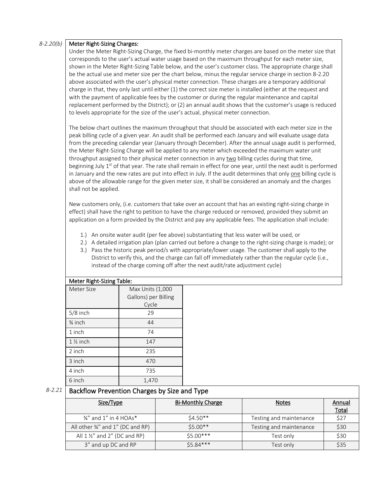#### *8-2.20(b)* Meter Right-Sizing Charges:

Under the Meter Right-Sizing Charge, the fixed bi-monthly meter charges are based on the meter size that corresponds to the user's actual water usage based on the maximum throughput for each meter size, shown in the Meter Right-Sizing Table below, and the user's customer class. The appropriate charge shall be the actual use and meter size per the chart below, minus the regular service charge in section 8-2.20 above associated with the user's physical meter connection. These charges are a temporary additional charge in that, they only last until either (1) the correct size meter is installed (either at the request and with the payment of applicable fees by the customer or during the regular maintenance and capital replacement performed by the District); or (2) an annual audit shows that the customer's usage is reduced to levels appropriate for the size of the user's actual, physical meter connection.

The below chart outlines the maximum throughput that should be associated with each meter size in the peak billing cycle of a given year. An audit shall be performed each January and will evaluate usage data from the preceding calendar year (January through December). After the annual usage audit is performed, the Meter Right-Sizing Charge will be applied to any meter which exceeded the maximum water unit throughput assigned to their physical meter connection in any two billing cycles during that time, beginning July 1<sup>st</sup> of that year. The rate shall remain in effect for one year, until the next audit is performed in January and the new rates are put into effect in July. If the audit determines that only one billing cycle is above of the allowable range for the given meter size, it shall be considered an anomaly and the charges shall not be applied.

New customers only, (i.e. customers that take over an account that has an existing right-sizing charge in effect) shall have the right to petition to have the charge reduced or removed, provided they submit an application on a form provided by the District and pay any applicable fees. The application shall include:

- 1.) An onsite water audit (per fee above) substantiating that less water will be used, or
- 2.) A detailed irrigation plan (plan carried out before a change to the right-sizing charge is made); or
- 3.) Pass the historic peak period/s with appropriate/lower usage. The customer shall apply to the District to verify this, and the charge can fall off immediately rather than the regular cycle (i.e., instead of the charge coming off after the next audit/rate adjustment cycle)

| Meter Right-Sizing Table: |                                          |  |  |  |  |  |
|---------------------------|------------------------------------------|--|--|--|--|--|
| Meter Size                | Max Units (1,000<br>Gallons) per Billing |  |  |  |  |  |
|                           | Cycle                                    |  |  |  |  |  |
| $5/8$ inch                | 29                                       |  |  |  |  |  |
| $\frac{3}{4}$ inch        | 44                                       |  |  |  |  |  |
| 1 inch                    | 74                                       |  |  |  |  |  |
| $1\frac{1}{2}$ inch       | 147                                      |  |  |  |  |  |
| 2 inch                    | 235                                      |  |  |  |  |  |
| 3 inch                    | 470                                      |  |  |  |  |  |
| 4 inch                    | 735                                      |  |  |  |  |  |
| 6 inch                    | 1,470                                    |  |  |  |  |  |

# *8-2.21* Backflow Prevention Charges by Size and Type

| Size/Type                                    | <b>Bi-Monthly Charge</b> | <b>Notes</b>            | Annual<br><u>Total</u> |
|----------------------------------------------|--------------------------|-------------------------|------------------------|
| $\frac{3}{4}$ " and 1" in 4 HOAs*            | $54.50**$                | Testing and maintenance | \$27                   |
| All other $\frac{3}{4}$ " and 1" (DC and RP) | $$5.00**$$               | Testing and maintenance | \$30                   |
| All $1\frac{1}{2}$ and $2''$ (DC and RP)     | $$5.00***$               | Test only               | \$30                   |
| 3" and up DC and RP                          | $$5.84***$               | Test only               | \$35                   |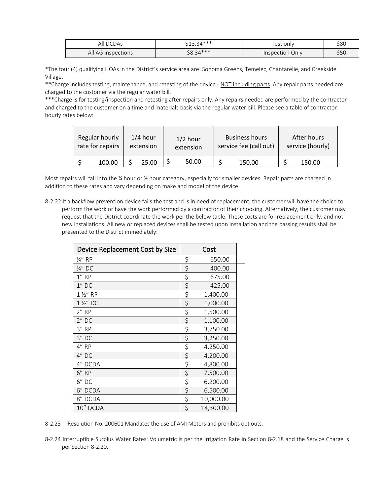| All DCDAs          | $513.34***$ | est only        | \$80 |
|--------------------|-------------|-----------------|------|
| All AG inspections | $$8.34***$  | Inspection Only | \$50 |

\*The four (4) qualifying HOAs in the District's service area are: Sonoma Greens, Temelec, Chantarelle, and Creekside Village.

\*\*Charge includes testing, maintenance, and retesting of the device - NOT including parts. Any repair parts needed are charged to the customer via the regular water bill.

\*\*\*Charge is for testing/inspection and retesting after repairs only. Any repairs needed are performed by the contractor and charged to the customer on a time and materials basis via the regular water bill. Please see a table of contractor hourly rates below:

| Regular hourly<br>$1/4$ hour<br>$1/2$ hour<br>rate for repairs<br>extension<br>extension |  | <b>Business hours</b><br>service fee (call out) | After hours<br>service (hourly) |       |        |        |
|------------------------------------------------------------------------------------------|--|-------------------------------------------------|---------------------------------|-------|--------|--------|
| 100.00                                                                                   |  | 25.00                                           |                                 | 50.00 | 150.00 | 150.00 |

Most repairs will fall into the ¼ hour or ½ hour category, especially for smaller devices. Repair parts are charged in addition to these rates and vary depending on make and model of the device.

8-2.22 If a backflow prevention device fails the test and is in need of replacement, the customer will have the choice to perform the work or have the work performed by a contractor of their choosing. Alternatively, the customer may request that the District coordinate the work per the below table. These costs are for replacement only, and not new installations. All new or replaced devices shall be tested upon installation and the passing results shall be presented to the District immediately:

| Device Replacement Cost by Size | Cost    |           |  |
|---------------------------------|---------|-----------|--|
| 3⁄4" RP                         | \$      | 650.00    |  |
| 3/4" DC                         | \$      | 400.00    |  |
| $1''$ RP                        | \$      | 675.00    |  |
| $1''$ DC                        | \$      | 425.00    |  |
| $1\frac{1}{2}$ RP               | \$      | 1,400.00  |  |
| $1\frac{1}{2}$ DC               | \$      | 1,000.00  |  |
| $2''$ RP                        | $\zeta$ | 1,500.00  |  |
| $2''$ DC                        | \$      | 1,100.00  |  |
| $3''$ RP                        | \$      | 3,750.00  |  |
| $3''$ DC                        | \$      | 3,250.00  |  |
| 4" RP                           | \$      | 4,250.00  |  |
| $4''$ DC                        | \$      | 4,200.00  |  |
| 4" DCDA                         | \$      | 4,800.00  |  |
| $6''$ RP                        | \$      | 7,500.00  |  |
| 6" DC                           | \$      | 6,200.00  |  |
| 6" DCDA                         | \$      | 6,500.00  |  |
| 8" DCDA                         | \$      | 10,000.00 |  |
| 10" DCDA                        | \$      | 14,300.00 |  |

- 8-2.23 Resolution No. 200601 Mandates the use of AMI Meters and prohibits opt outs.
- 8-2.24 Interruptible Surplus Water Rates: Volumetric is per the Irrigation Rate in Section 8-2.18 and the Service Charge is per Section 8-2.20.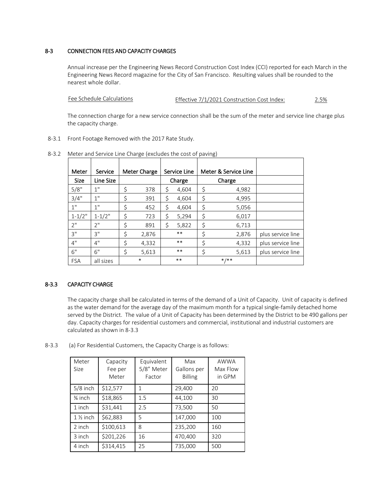## <span id="page-20-0"></span>8-3 CONNECTION FEES AND CAPACITY CHARGES

Annual increase per the Engineering News Record Construction Cost Index (CCI) reported for each March in the Engineering News Record magazine for the City of San Francisco. Resulting values shall be rounded to the nearest whole dollar.

Fee Schedule Calculations Effective 7/1/2021 Construction Cost Index: 2.5%

The connection charge for a new service connection shall be the sum of the meter and service line charge plus the capacity charge.

8-3.1 Front Footage Removed with the 2017 Rate Study.

| Meter       | Service    | Meter Charge | Service Line |        | Meter & Service Line |                   |
|-------------|------------|--------------|--------------|--------|----------------------|-------------------|
| <b>Size</b> | Line Size  |              |              | Charge | Charge               |                   |
| 5/8"        | 1"         | \$<br>378    | \$           | 4,604  | \$<br>4,982          |                   |
| 3/4"        | 1"         | \$<br>391    | \$           | 4,604  | \$<br>4,995          |                   |
| 1"          | 1"         | \$<br>452    | \$           | 4,604  | \$<br>5,056          |                   |
| $1 - 1/2"$  | $1 - 1/2"$ | \$<br>723    | \$           | 5,294  | \$<br>6,017          |                   |
| 2"          | יי ?       | \$<br>891    | \$           | 5,822  | \$<br>6,713          |                   |
| 3"          | 3"         | \$<br>2,876  |              | $***$  | \$<br>2,876          | plus service line |
| 4"          | 4"         | \$<br>4,332  |              | $***$  | \$<br>4,332          | plus service line |
| 6"          | 6"         | \$<br>5,613  |              | $***$  | \$<br>5,613          | plus service line |
| <b>FSA</b>  | all sizes  | $\ast$       |              | $***$  | $*$ /**              |                   |

8-3.2 Meter and Service Line Charge (excludes the cost of paving)

#### <span id="page-20-1"></span>8-3.3 CAPACITY CHARGE

The capacity charge shall be calculated in terms of the demand of a Unit of Capacity. Unit of capacity is defined as the water demand for the average day of the maximum month for a typical single-family detached home served by the District. The value of a Unit of Capacity has been determined by the District to be 490 gallons per day. Capacity charges for residential customers and commercial, institutional and industrial customers are calculated as shown in 8-3.3

8-3.3 (a) For Residential Customers, the Capacity Charge is as follows:

| Meter<br>Size       | Capacity<br>Fee per<br>Meter | Equivalent<br>5/8" Meter<br>Factor | Max<br>Gallons per<br><b>Billing</b> | <b>AWWA</b><br>Max Flow<br>in GPM |
|---------------------|------------------------------|------------------------------------|--------------------------------------|-----------------------------------|
| $5/8$ inch          | \$12,577                     | 1                                  | 29,400                               | 20                                |
| $\frac{3}{4}$ inch  | \$18,865                     | 1.5                                | 44,100                               | 30                                |
| 1 inch              | \$31,441                     | 2.5                                | 73,500                               | 50                                |
| $1\frac{1}{2}$ inch | \$62,883                     | 5                                  | 147,000                              | 100                               |
| 2 inch              | \$100,613                    | 8                                  | 235,200                              | 160                               |
| 3 inch              | \$201,226                    | 16                                 | 470,400                              | 320                               |
| 4 inch              | \$314,415                    | 25                                 | 735,000                              | 500                               |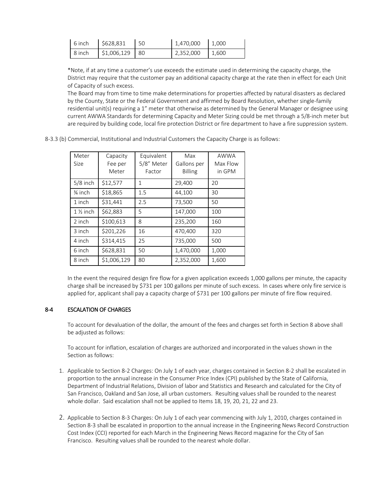| $6$ inch | \$628.831       | 1,470,000 | 1.000 |
|----------|-----------------|-----------|-------|
| $8$ inch | $$1,006,129$ 80 | 2,352,000 | 1.600 |

\*Note, if at any time a customer's use exceeds the estimate used in determining the capacity charge, the District may require that the customer pay an additional capacity charge at the rate then in effect for each Unit of Capacity of such excess.

The Board may from time to time make determinations for properties affected by natural disasters as declared by the County, State or the Federal Government and affirmed by Board Resolution, whether single-family residential unit(s) requiring a 1" meter that otherwise as determined by the General Manager or designee using current AWWA Standards for determining Capacity and Meter Sizing could be met through a 5/8-inch meter but are required by building code, local fire protection District or fire department to have a fire suppression system.

8-3.3 (b) Commercial, Institutional and Industrial Customers the Capacity Charge is as follows:

| Meter<br>Size       | Capacity<br>Fee per<br>Meter | Equivalent<br>5/8" Meter<br>Factor | Max<br>Gallons per<br><b>Billing</b> | AWWA<br>Max Flow<br>in GPM |
|---------------------|------------------------------|------------------------------------|--------------------------------------|----------------------------|
| $5/8$ inch          | \$12,577                     | 1                                  | 29,400                               | 20                         |
| $\frac{3}{4}$ inch  | \$18,865                     | 1.5                                | 44,100                               | 30                         |
| 1 inch              | \$31,441                     | 2.5                                | 73,500                               | 50                         |
| $1\frac{1}{2}$ inch | \$62,883                     | 5                                  | 147,000                              | 100                        |
| 2 inch              | \$100,613                    | 8                                  | 235,200                              | 160                        |
| 3 inch              | \$201,226                    | 16                                 | 470,400                              | 320                        |
| 4 inch              | \$314,415                    | 25                                 | 735,000                              | 500                        |
| 6 inch              | \$628,831                    | 50                                 | 1,470,000                            | 1,000                      |
| 8 inch              | \$1,006,129                  | 80                                 | 2,352,000                            | 1,600                      |

In the event the required design fire flow for a given application exceeds 1,000 gallons per minute, the capacity charge shall be increased by \$731 per 100 gallons per minute of such excess. In cases where only fire service is applied for, applicant shall pay a capacity charge of \$731 per 100 gallons per minute of fire flow required.

## <span id="page-21-0"></span>8-4 ESCALATION OF CHARGES

To account for devaluation of the dollar, the amount of the fees and charges set forth in Section 8 above shall be adjusted as follows:

To account for inflation, escalation of charges are authorized and incorporated in the values shown in the Section as follows:

- 1. Applicable to Section 8-2 Charges: On July 1 of each year, charges contained in Section 8-2 shall be escalated in proportion to the annual increase in the Consumer Price Index (CPI) published by the State of California, Department of Industrial Relations, Division of labor and Statistics and Research and calculated for the City of San Francisco, Oakland and San Jose, all urban customers. Resulting values shall be rounded to the nearest whole dollar. Said escalation shall not be applied to Items 18, 19, 20, 21, 22 and 23.
- 2. Applicable to Section 8-3 Charges: On July 1 of each year commencing with July 1, 2010, charges contained in Section 8-3 shall be escalated in proportion to the annual increase in the Engineering News Record Construction Cost Index (CCI) reported for each March in the Engineering News Record magazine for the City of San Francisco. Resulting values shall be rounded to the nearest whole dollar.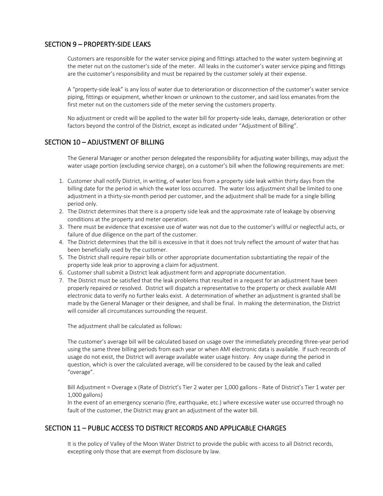# <span id="page-22-0"></span>SECTION 9 – PROPERTY-SIDE LEAKS

Customers are responsible for the water service piping and fittings attached to the water system beginning at the meter nut on the customer's side of the meter. All leaks in the customer's water service piping and fittings are the customer's responsibility and must be repaired by the customer solely at their expense.

A "property-side leak" is any loss of water due to deterioration or disconnection of the customer's water service piping, fittings or equipment, whether known or unknown to the customer, and said loss emanates from the first meter nut on the customers side of the meter serving the customers property.

No adjustment or credit will be applied to the water bill for property-side leaks, damage, deterioration or other factors beyond the control of the District, except as indicated under "Adjustment of Billing".

# <span id="page-22-1"></span>SECTION 10 – ADJUSTMENT OF BILLING

The General Manager or another person delegated the responsibility for adjusting water billings, may adjust the water usage portion (excluding service charge), on a customer's bill when the following requirements are met:

- 1. Customer shall notify District, in writing, of water loss from a property side leak within thirty days from the billing date for the period in which the water loss occurred. The water loss adjustment shall be limited to one adjustment in a thirty-six-month period per customer, and the adjustment shall be made for a single billing period only.
- 2. The District determines that there is a property side leak and the approximate rate of leakage by observing conditions at the property and meter operation.
- 3. There must be evidence that excessive use of water was not due to the customer's willful or neglectful acts, or failure of due diligence on the part of the customer.
- 4. The District determines that the bill is excessive in that it does not truly reflect the amount of water that has been beneficially used by the customer.
- 5. The District shall require repair bills or other appropriate documentation substantiating the repair of the property side leak prior to approving a claim for adjustment.
- 6. Customer shall submit a District leak adjustment form and appropriate documentation.
- 7. The District must be satisfied that the leak problems that resulted in a request for an adjustment have been properly repaired or resolved. District will dispatch a representative to the property or check available AMI electronic data to verify no further leaks exist. A determination of whether an adjustment is granted shall be made by the General Manager or their designee, and shall be final. In making the determination, the District will consider all circumstances surrounding the request.

The adjustment shall be calculated as follows:

The customer's average bill will be calculated based on usage over the immediately preceding three-year period using the same three billing periods from each year or when AMI electronic data is available. If such records of usage do not exist, the District will average available water usage history. Any usage during the period in question, which is over the calculated average, will be considered to be caused by the leak and called "overage".

Bill Adjustment = Overage x (Rate of District's Tier 2 water per 1,000 gallons - Rate of District's Tier 1 water per 1,000 gallons)

In the event of an emergency scenario (fire, earthquake, etc.) where excessive water use occurred through no fault of the customer, the District may grant an adjustment of the water bill.

# <span id="page-22-2"></span>SECTION 11 – PUBLIC ACCESS TO DISTRICT RECORDS AND APPLICABLE CHARGES

It is the policy of Valley of the Moon Water District to provide the public with access to all District records, excepting only those that are exempt from disclosure by law.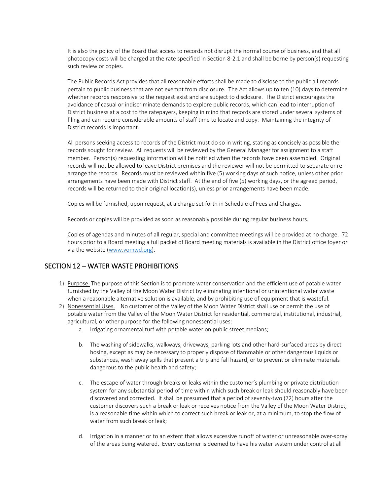It is also the policy of the Board that access to records not disrupt the normal course of business, and that all photocopy costs will be charged at the rate specified in Section 8-2.1 and shall be borne by person(s) requesting such review or copies.

The Public Records Act provides that all reasonable efforts shall be made to disclose to the public all records pertain to public business that are not exempt from disclosure. The Act allows up to ten (10) days to determine whether records responsive to the request exist and are subject to disclosure. The District encourages the avoidance of casual or indiscriminate demands to explore public records, which can lead to interruption of District business at a cost to the ratepayers, keeping in mind that records are stored under several systems of filing and can require considerable amounts of staff time to locate and copy. Maintaining the integrity of District records is important.

All persons seeking access to records of the District must do so in writing, stating as concisely as possible the records sought for review. All requests will be reviewed by the General Manager for assignment to a staff member. Person(s) requesting information will be notified when the records have been assembled. Original records will not be allowed to leave District premises and the reviewer will not be permitted to separate or rearrange the records. Records must be reviewed within five (5) working days of such notice, unless other prior arrangements have been made with District staff. At the end of five (5) working days, or the agreed period, records will be returned to their original location(s), unless prior arrangements have been made.

Copies will be furnished, upon request, at a charge set forth in Schedule of Fees and Charges.

Records or copies will be provided as soon as reasonably possible during regular business hours.

Copies of agendas and minutes of all regular, special and committee meetings will be provided at no charge. 72 hours prior to a Board meeting a full packet of Board meeting materials is available in the District office foyer or via the website [\(www.vomwd.org\)](http://www.vomwd.org/).

# <span id="page-23-0"></span>SECTION 12 – WATER WASTE PROHIBITIONS

- 1) Purpose. The purpose of this Section is to promote water conservation and the efficient use of potable water furnished by the Valley of the Moon Water District by eliminating intentional or unintentional water waste when a reasonable alternative solution is available, and by prohibiting use of equipment that is wasteful.
- 2) Nonessential Uses. No customer of the Valley of the Moon Water District shall use or permit the use of potable water from the Valley of the Moon Water District for residential, commercial, institutional, industrial, agricultural, or other purpose for the following nonessential uses:
	- a. Irrigating ornamental turf with potable water on public street medians;
	- b. The washing of sidewalks, walkways, driveways, parking lots and other hard-surfaced areas by direct hosing, except as may be necessary to properly dispose of flammable or other dangerous liquids or substances, wash away spills that present a trip and fall hazard, or to prevent or eliminate materials dangerous to the public health and safety;
	- c. The escape of water through breaks or leaks within the customer's plumbing or private distribution system for any substantial period of time within which such break or leak should reasonably have been discovered and corrected. It shall be presumed that a period of seventy-two (72) hours after the customer discovers such a break or leak or receives notice from the Valley of the Moon Water District, is a reasonable time within which to correct such break or leak or, at a minimum, to stop the flow of water from such break or leak;
	- d. Irrigation in a manner or to an extent that allows excessive runoff of water or unreasonable over-spray of the areas being watered. Every customer is deemed to have his water system under control at all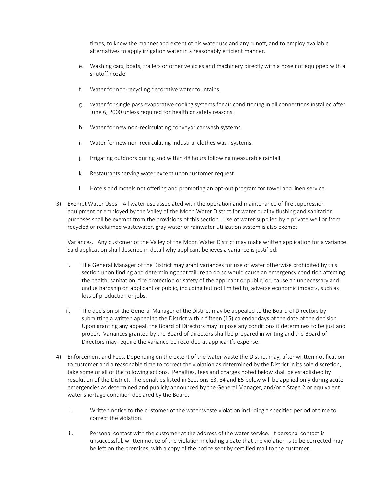times, to know the manner and extent of his water use and any runoff, and to employ available alternatives to apply irrigation water in a reasonably efficient manner.

- e. Washing cars, boats, trailers or other vehicles and machinery directly with a hose not equipped with a shutoff nozzle.
- f. Water for non-recycling decorative water fountains.
- g. Water for single pass evaporative cooling systems for air conditioning in all connections installed after June 6, 2000 unless required for health or safety reasons.
- h. Water for new non-recirculating conveyor car wash systems.
- i. Water for new non-recirculating industrial clothes wash systems.
- j. Irrigating outdoors during and within 48 hours following measurable rainfall.
- k. Restaurants serving water except upon customer request.
- l. Hotels and motels not offering and promoting an opt-out program for towel and linen service.
- 3) Exempt Water Uses. All water use associated with the operation and maintenance of fire suppression equipment or employed by the Valley of the Moon Water District for water quality flushing and sanitation purposes shall be exempt from the provisions of this section. Use of water supplied by a private well or from recycled or reclaimed wastewater, gray water or rainwater utilization system is also exempt.

Variances. Any customer of the Valley of the Moon Water District may make written application for a variance. Said application shall describe in detail why applicant believes a variance is justified.

- i. The General Manager of the District may grant variances for use of water otherwise prohibited by this section upon finding and determining that failure to do so would cause an emergency condition affecting the health, sanitation, fire protection or safety of the applicant or public; or, cause an unnecessary and undue hardship on applicant or public, including but not limited to, adverse economic impacts, such as loss of production or jobs.
- ii. The decision of the General Manager of the District may be appealed to the Board of Directors by submitting a written appeal to the District within fifteen (15) calendar days of the date of the decision. Upon granting any appeal, the Board of Directors may impose any conditions it determines to be just and proper. Variances granted by the Board of Directors shall be prepared in writing and the Board of Directors may require the variance be recorded at applicant's expense.
- 4) Enforcement and Fees. Depending on the extent of the water waste the District may, after written notification to customer and a reasonable time to correct the violation as determined by the District in its sole discretion, take some or all of the following actions. Penalties, fees and charges noted below shall be established by resolution of the District. The penalties listed in Sections E3, E4 and E5 below will be applied only during acute emergencies as determined and publicly announced by the General Manager, and/or a Stage 2 or equivalent water shortage condition declared by the Board.
	- i. Written notice to the customer of the water waste violation including a specified period of time to correct the violation.
	- ii. Personal contact with the customer at the address of the water service. If personal contact is unsuccessful, written notice of the violation including a date that the violation is to be corrected may be left on the premises, with a copy of the notice sent by certified mail to the customer.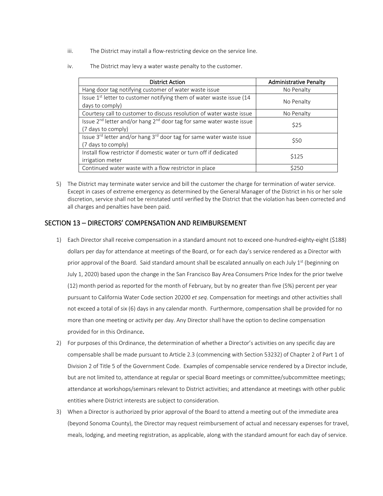- iii. The District may install a flow-restricting device on the service line.
- iv. The District may levy a water waste penalty to the customer.

| <b>District Action</b>                                                                                             | <b>Administrative Penalty</b> |
|--------------------------------------------------------------------------------------------------------------------|-------------------------------|
| Hang door tag notifying customer of water waste issue                                                              | No Penalty                    |
| Issue 1 <sup>st</sup> letter to customer notifying them of water waste issue (14<br>days to comply)                | No Penalty                    |
| Courtesy call to customer to discuss resolution of water waste issue                                               | No Penalty                    |
| Issue 2 <sup>nd</sup> letter and/or hang 2 <sup>nd</sup> door tag for same water waste issue<br>(7 days to comply) | \$25                          |
| Issue 3 <sup>rd</sup> letter and/or hang 3 <sup>rd</sup> door tag for same water waste issue<br>(7 days to comply) | \$50                          |
| Install flow restrictor if domestic water or turn off if dedicated<br>irrigation meter                             | \$125                         |
| Continued water waste with a flow restrictor in place                                                              | \$250                         |

5) The District may terminate water service and bill the customer the charge for termination of water service. Except in cases of extreme emergency as determined by the General Manager of the District in his or her sole discretion, service shall not be reinstated until verified by the District that the violation has been corrected and all charges and penalties have been paid.

# <span id="page-25-0"></span>SECTION 13 – DIRECTORS' COMPENSATION AND REIMBURSEMENT

- 1) Each Director shall receive compensation in a standard amount not to exceed one-hundred-eighty-eight (\$188) dollars per day for attendance at meetings of the Board, or for each day's service rendered as a Director with prior approval of the Board. Said standard amount shall be escalated annually on each July  $1^{st}$  (beginning on July 1, 2020) based upon the change in the San Francisco Bay Area Consumers Price Index for the prior twelve (12) month period as reported for the month of February, but by no greater than five (5%) percent per year pursuant to California Water Code section 20200 *et seq*. Compensation for meetings and other activities shall not exceed a total of six (6) days in any calendar month. Furthermore, compensation shall be provided for no more than one meeting or activity per day. Any Director shall have the option to decline compensation provided for in this Ordinance.
- 2) For purposes of this Ordinance, the determination of whether a Director's activities on any specific day are compensable shall be made pursuant to Article 2.3 (commencing with Section 53232) of Chapter 2 of Part 1 of Division 2 of Title 5 of the Government Code. Examples of compensable service rendered by a Director include, but are not limited to, attendance at regular or special Board meetings or committee/subcommittee meetings; attendance at workshops/seminars relevant to District activities; and attendance at meetings with other public entities where District interests are subject to consideration.
- 3) When a Director is authorized by prior approval of the Board to attend a meeting out of the immediate area (beyond Sonoma County), the Director may request reimbursement of actual and necessary expenses for travel, meals, lodging, and meeting registration, as applicable, along with the standard amount for each day of service.